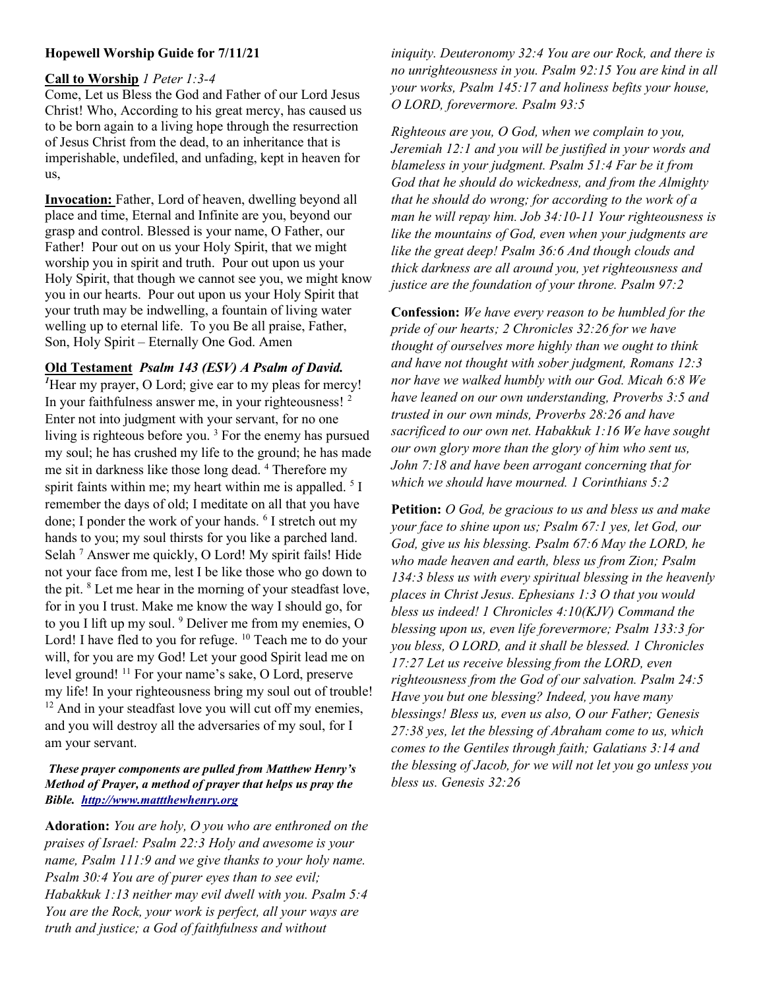## Hopewell Worship Guide for 7/11/21

## Call to Worship 1 Peter 1:3-4

Come, Let us Bless the God and Father of our Lord Jesus Christ! Who, According to his great mercy, has caused us to be born again to a living hope through the resurrection of Jesus Christ from the dead, to an inheritance that is imperishable, undefiled, and unfading, kept in heaven for us,

Invocation: Father, Lord of heaven, dwelling beyond all place and time, Eternal and Infinite are you, beyond our grasp and control. Blessed is your name, O Father, our Father! Pour out on us your Holy Spirit, that we might worship you in spirit and truth. Pour out upon us your Holy Spirit, that though we cannot see you, we might know you in our hearts. Pour out upon us your Holy Spirit that your truth may be indwelling, a fountain of living water welling up to eternal life. To you Be all praise, Father, Son, Holy Spirit – Eternally One God. Amen

## Old Testament Psalm 143 (ESV) A Psalm of David.

 $<sup>I</sup>$  Hear my prayer, O Lord; give ear to my pleas for mercy!</sup> In your faithfulness answer me, in your righteousness! <sup>2</sup> Enter not into judgment with your servant, for no one living is righteous before you.<sup>3</sup> For the enemy has pursued my soul; he has crushed my life to the ground; he has made me sit in darkness like those long dead. <sup>4</sup> Therefore my spirit faints within me; my heart within me is appalled.  $5I$ remember the days of old; I meditate on all that you have done; I ponder the work of your hands. <sup>6</sup> I stretch out my hands to you; my soul thirsts for you like a parched land. Selah<sup>7</sup> Answer me quickly, O Lord! My spirit fails! Hide not your face from me, lest I be like those who go down to the pit. <sup>8</sup> Let me hear in the morning of your steadfast love, for in you I trust. Make me know the way I should go, for to you I lift up my soul. <sup>9</sup> Deliver me from my enemies, O Lord! I have fled to you for refuge. <sup>10</sup> Teach me to do your will, for you are my God! Let your good Spirit lead me on level ground! <sup>11</sup> For your name's sake, O Lord, preserve my life! In your righteousness bring my soul out of trouble!  $12$  And in your steadfast love you will cut off my enemies, and you will destroy all the adversaries of my soul, for I am your servant.

## These prayer components are pulled from Matthew Henry's Method of Prayer, a method of prayer that helps us pray the Bible. http://www.mattthewhenry.org

Adoration: You are holy, O you who are enthroned on the praises of Israel: Psalm 22:3 Holy and awesome is your name, Psalm 111:9 and we give thanks to your holy name. Psalm 30:4 You are of purer eyes than to see evil; Habakkuk 1:13 neither may evil dwell with you. Psalm 5:4 You are the Rock, your work is perfect, all your ways are truth and justice; a God of faithfulness and without

iniquity. Deuteronomy 32:4 You are our Rock, and there is no unrighteousness in you. Psalm 92:15 You are kind in all your works, Psalm 145:17 and holiness befits your house, O LORD, forevermore. Psalm 93:5

Righteous are you, O God, when we complain to you, Jeremiah 12:1 and you will be justified in your words and blameless in your judgment. Psalm 51:4 Far be it from God that he should do wickedness, and from the Almighty that he should do wrong; for according to the work of a man he will repay him. Job 34:10-11 Your righteousness is like the mountains of God, even when your judgments are like the great deep! Psalm 36:6 And though clouds and thick darkness are all around you, yet righteousness and justice are the foundation of your throne. Psalm 97:2

Confession: We have every reason to be humbled for the pride of our hearts; 2 Chronicles 32:26 for we have thought of ourselves more highly than we ought to think and have not thought with sober judgment, Romans 12:3 nor have we walked humbly with our God. Micah 6:8 We have leaned on our own understanding, Proverbs 3:5 and trusted in our own minds, Proverbs 28:26 and have sacrificed to our own net. Habakkuk 1:16 We have sought our own glory more than the glory of him who sent us, John 7:18 and have been arrogant concerning that for which we should have mourned. 1 Corinthians 5:2

Petition: *O God, be gracious to us and bless us and make* your face to shine upon us; Psalm 67:1 yes, let God, our God, give us his blessing. Psalm 67:6 May the LORD, he who made heaven and earth, bless us from Zion; Psalm 134:3 bless us with every spiritual blessing in the heavenly places in Christ Jesus. Ephesians 1:3 O that you would bless us indeed! 1 Chronicles 4:10(KJV) Command the blessing upon us, even life forevermore; Psalm 133:3 for you bless, O LORD, and it shall be blessed. 1 Chronicles 17:27 Let us receive blessing from the LORD, even righteousness from the God of our salvation. Psalm 24:5 Have you but one blessing? Indeed, you have many blessings! Bless us, even us also, O our Father; Genesis 27:38 yes, let the blessing of Abraham come to us, which comes to the Gentiles through faith; Galatians 3:14 and the blessing of Jacob, for we will not let you go unless you bless us. Genesis 32:26